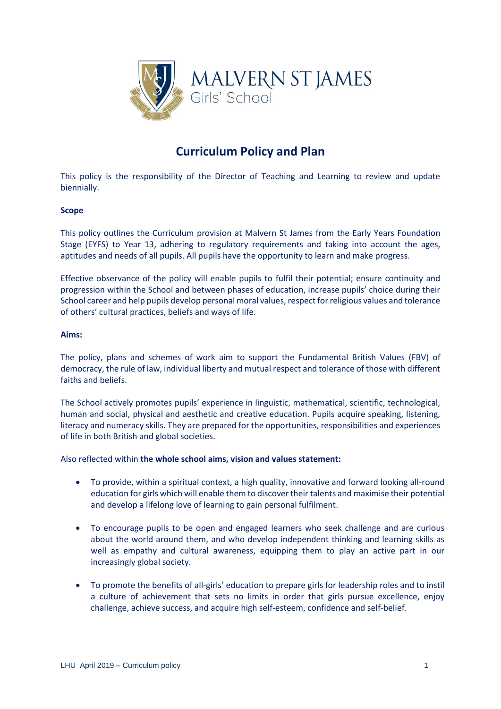

# **Curriculum Policy and Plan**

This policy is the responsibility of the Director of Teaching and Learning to review and update biennially.

#### **Scope**

This policy outlines the Curriculum provision at Malvern St James from the Early Years Foundation Stage (EYFS) to Year 13, adhering to regulatory requirements and taking into account the ages, aptitudes and needs of all pupils. All pupils have the opportunity to learn and make progress.

Effective observance of the policy will enable pupils to fulfil their potential; ensure continuity and progression within the School and between phases of education, increase pupils' choice during their School career and help pupils develop personal moral values, respect for religious values and tolerance of others' cultural practices, beliefs and ways of life.

#### **Aims:**

The policy, plans and schemes of work aim to support the Fundamental British Values (FBV) of democracy, the rule of law, individual liberty and mutual respect and tolerance of those with different faiths and beliefs.

The School actively promotes pupils' experience in linguistic, mathematical, scientific, technological, human and social, physical and aesthetic and creative education. Pupils acquire speaking, listening, literacy and numeracy skills. They are prepared for the opportunities, responsibilities and experiences of life in both British and global societies.

Also reflected within **the whole school aims, vision and values statement:**

- To provide, within a spiritual context, a high quality, innovative and forward looking all-round education for girls which will enable them to discover their talents and maximise their potential and develop a lifelong love of learning to gain personal fulfilment.
- To encourage pupils to be open and engaged learners who seek challenge and are curious about the world around them, and who develop independent thinking and learning skills as well as empathy and cultural awareness, equipping them to play an active part in our increasingly global society.
- To promote the benefits of all-girls' education to prepare girls for leadership roles and to instil a culture of achievement that sets no limits in order that girls pursue excellence, enjoy challenge, achieve success, and acquire high self-esteem, confidence and self-belief.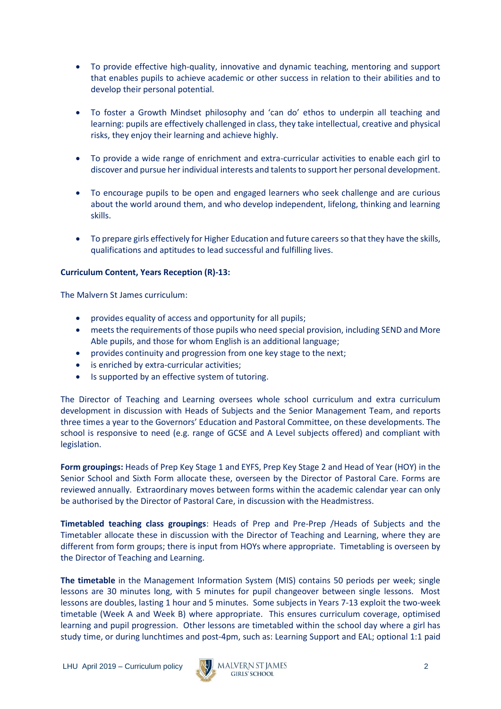- To provide effective high-quality, innovative and dynamic teaching, mentoring and support that enables pupils to achieve academic or other success in relation to their abilities and to develop their personal potential.
- To foster a Growth Mindset philosophy and 'can do' ethos to underpin all teaching and learning: pupils are effectively challenged in class, they take intellectual, creative and physical risks, they enjoy their learning and achieve highly.
- To provide a wide range of enrichment and extra-curricular activities to enable each girl to discover and pursue her individual interests and talents to support her personal development.
- To encourage pupils to be open and engaged learners who seek challenge and are curious about the world around them, and who develop independent, lifelong, thinking and learning skills.
- To prepare girls effectively for Higher Education and future careers so that they have the skills, qualifications and aptitudes to lead successful and fulfilling lives.

# **Curriculum Content, Years Reception (R)-13:**

The Malvern St James curriculum:

- provides equality of access and opportunity for all pupils;
- meets the requirements of those pupils who need special provision, including SEND and More Able pupils, and those for whom English is an additional language;
- provides continuity and progression from one key stage to the next;
- is enriched by extra-curricular activities;
- Is supported by an effective system of tutoring.

The Director of Teaching and Learning oversees whole school curriculum and extra curriculum development in discussion with Heads of Subjects and the Senior Management Team, and reports three times a year to the Governors' Education and Pastoral Committee, on these developments. The school is responsive to need (e.g. range of GCSE and A Level subjects offered) and compliant with legislation.

**Form groupings:** Heads of Prep Key Stage 1 and EYFS, Prep Key Stage 2 and Head of Year (HOY) in the Senior School and Sixth Form allocate these, overseen by the Director of Pastoral Care. Forms are reviewed annually. Extraordinary moves between forms within the academic calendar year can only be authorised by the Director of Pastoral Care, in discussion with the Headmistress.

**Timetabled teaching class groupings**: Heads of Prep and Pre-Prep /Heads of Subjects and the Timetabler allocate these in discussion with the Director of Teaching and Learning, where they are different from form groups; there is input from HOYs where appropriate. Timetabling is overseen by the Director of Teaching and Learning.

**The timetable** in the Management Information System (MIS) contains 50 periods per week; single lessons are 30 minutes long, with 5 minutes for pupil changeover between single lessons. Most lessons are doubles, lasting 1 hour and 5 minutes. Some subjects in Years 7-13 exploit the two-week timetable (Week A and Week B) where appropriate. This ensures curriculum coverage, optimised learning and pupil progression. Other lessons are timetabled within the school day where a girl has study time, or during lunchtimes and post-4pm, such as: Learning Support and EAL; optional 1:1 paid

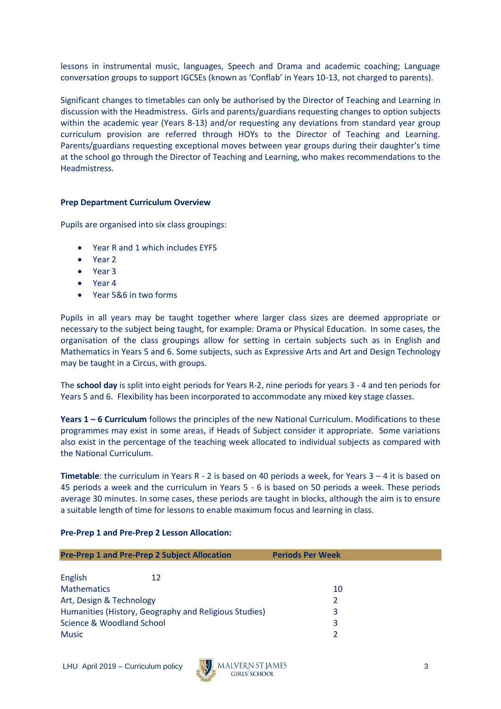lessons in instrumental music, languages, Speech and Drama and academic coaching; Language conversation groups to support IGCSEs (known as 'Conflab' in Years 10-13, not charged to parents).

Significant changes to timetables can only be authorised by the Director of Teaching and Learning in discussion with the Headmistress. Girls and parents/guardians requesting changes to option subjects within the academic year (Years 8-13) and/or requesting any deviations from standard year group curriculum provision are referred through HOYs to the Director of Teaching and Learning. Parents/guardians requesting exceptional moves between year groups during their daughter's time at the school go through the Director of Teaching and Learning, who makes recommendations to the Headmistress.

# **Prep Department Curriculum Overview**

Pupils are organised into six class groupings:

- Year R and 1 which includes EYFS
- Year 2
- Year 3
- Year 4
- Year 5&6 in two forms

Pupils in all years may be taught together where larger class sizes are deemed appropriate or necessary to the subject being taught, for example: Drama or Physical Education. In some cases, the organisation of the class groupings allow for setting in certain subjects such as in English and Mathematics in Years 5 and 6. Some subjects, such as Expressive Arts and Art and Design Technology may be taught in a Circus, with groups.

The **school day** is split into eight periods for Years R-2, nine periods for years 3 - 4 and ten periods for Years 5 and 6. Flexibility has been incorporated to accommodate any mixed key stage classes.

**Years 1 – 6 Curriculum** follows the principles of the new National Curriculum. Modifications to these programmes may exist in some areas, if Heads of Subject consider it appropriate. Some variations also exist in the percentage of the teaching week allocated to individual subjects as compared with the National Curriculum.

**Timetable**: the curriculum in Years R - 2 is based on 40 periods a week, for Years 3 – 4 it is based on 45 periods a week and the curriculum in Years 5 - 6 is based on 50 periods a week. These periods average 30 minutes. In some cases, these periods are taught in blocks, although the aim is to ensure a suitable length of time for lessons to enable maximum focus and learning in class.

| <b>Pre-Prep 1 and Pre-Prep 2 Subject Allocation</b>   | <b>Periods Per Week</b> |
|-------------------------------------------------------|-------------------------|
|                                                       |                         |
| English<br>12                                         |                         |
| <b>Mathematics</b>                                    | 10                      |
| Art, Design & Technology                              | $\mathcal{L}$           |
| Humanities (History, Geography and Religious Studies) | 3                       |
| Science & Woodland School                             | 3                       |
| <b>Music</b>                                          |                         |

#### **Pre-Prep 1 and Pre-Prep 2 Lesson Allocation:**

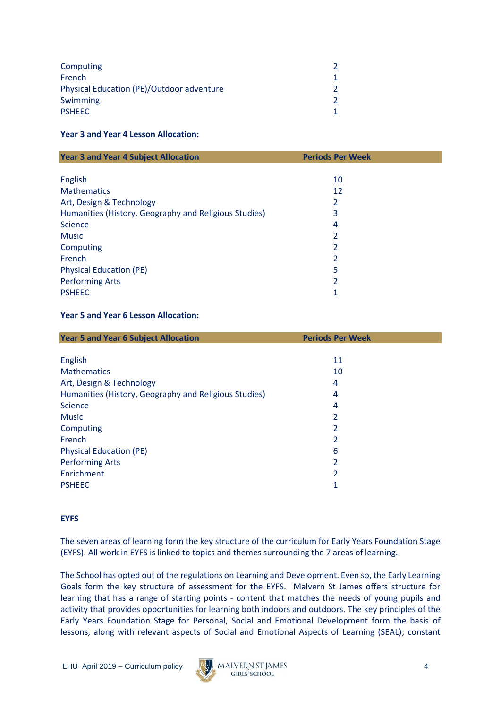| Computing                                 |  |
|-------------------------------------------|--|
| French                                    |  |
| Physical Education (PE)/Outdoor adventure |  |
| Swimming                                  |  |
| <b>PSHEEC</b>                             |  |

## **Year 3 and Year 4 Lesson Allocation:**

| <b>Year 3 and Year 4 Subject Allocation</b>           | <b>Periods Per Week</b> |
|-------------------------------------------------------|-------------------------|
|                                                       |                         |
| <b>English</b>                                        | 10                      |
| <b>Mathematics</b>                                    | 12                      |
| Art, Design & Technology                              | 2                       |
| Humanities (History, Geography and Religious Studies) | 3                       |
| Science                                               | 4                       |
| <b>Music</b>                                          | 2                       |
| Computing                                             | 2                       |
| French                                                | 2                       |
| <b>Physical Education (PE)</b>                        | 5                       |
| <b>Performing Arts</b>                                | 2                       |
| <b>PSHEEC</b>                                         | 1                       |

# **Year 5 and Year 6 Lesson Allocation:**

| <b>Year 5 and Year 6 Subject Allocation</b>           | <b>Periods Per Week</b> |
|-------------------------------------------------------|-------------------------|
|                                                       |                         |
| English                                               | 11                      |
| <b>Mathematics</b>                                    | 10                      |
| Art, Design & Technology                              | 4                       |
| Humanities (History, Geography and Religious Studies) | 4                       |
| Science                                               | 4                       |
| <b>Music</b>                                          | 2                       |
| Computing                                             | 2                       |
| French                                                | 2                       |
| <b>Physical Education (PE)</b>                        | 6                       |
| <b>Performing Arts</b>                                | 2                       |
| Enrichment                                            | $\overline{2}$          |
| <b>PSHEEC</b>                                         |                         |

## **EYFS**

The seven areas of learning form the key structure of the curriculum for Early Years Foundation Stage (EYFS). All work in EYFS is linked to topics and themes surrounding the 7 areas of learning.

The School has opted out of the regulations on Learning and Development. Even so, the Early Learning Goals form the key structure of assessment for the EYFS. Malvern St James offers structure for learning that has a range of starting points - content that matches the needs of young pupils and activity that provides opportunities for learning both indoors and outdoors. The key principles of the Early Years Foundation Stage for Personal, Social and Emotional Development form the basis of lessons, along with relevant aspects of Social and Emotional Aspects of Learning (SEAL); constant

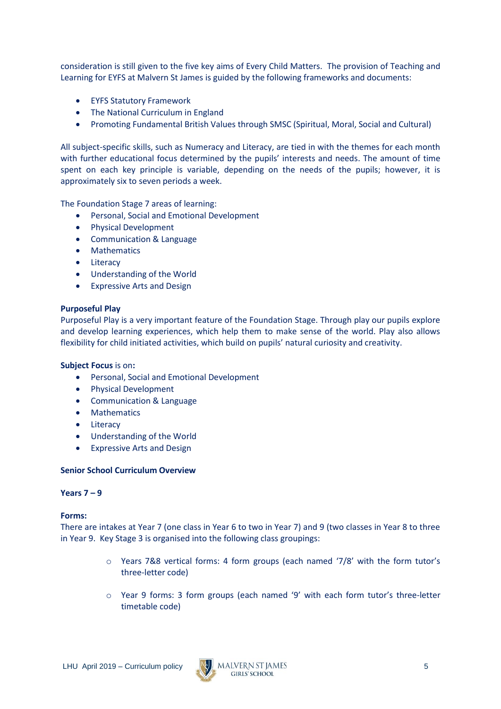consideration is still given to the five key aims of Every Child Matters. The provision of Teaching and Learning for EYFS at Malvern St James is guided by the following frameworks and documents:

- EYFS Statutory Framework
- The National Curriculum in England
- Promoting Fundamental British Values through SMSC (Spiritual, Moral, Social and Cultural)

All subject-specific skills, such as Numeracy and Literacy, are tied in with the themes for each month with further educational focus determined by the pupils' interests and needs. The amount of time spent on each key principle is variable, depending on the needs of the pupils; however, it is approximately six to seven periods a week.

The Foundation Stage 7 areas of learning:

- Personal, Social and Emotional Development
- Physical Development
- Communication & Language
- Mathematics
- Literacy
- Understanding of the World
- Expressive Arts and Design

#### **Purposeful Play**

Purposeful Play is a very important feature of the Foundation Stage. Through play our pupils explore and develop learning experiences, which help them to make sense of the world. Play also allows flexibility for child initiated activities, which build on pupils' natural curiosity and creativity.

#### **Subject Focus** is on**:**

- Personal, Social and Emotional Development
- Physical Development
- Communication & Language
- Mathematics
- Literacy
- Understanding of the World
- Expressive Arts and Design

#### **Senior School Curriculum Overview**

#### **Years 7 – 9**

#### **Forms:**

There are intakes at Year 7 (one class in Year 6 to two in Year 7) and 9 (two classes in Year 8 to three in Year 9. Key Stage 3 is organised into the following class groupings:

- o Years 7&8 vertical forms: 4 form groups (each named '7/8' with the form tutor's three-letter code)
- o Year 9 forms: 3 form groups (each named '9' with each form tutor's three-letter timetable code)

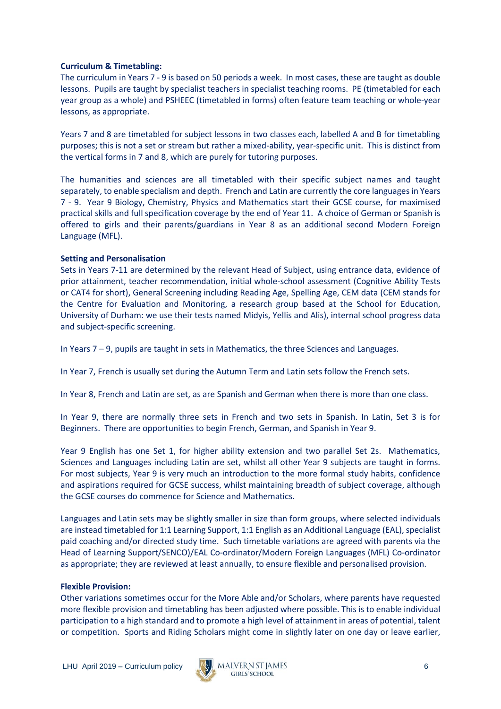## **Curriculum & Timetabling:**

The curriculum in Years 7 - 9 is based on 50 periods a week. In most cases, these are taught as double lessons. Pupils are taught by specialist teachers in specialist teaching rooms. PE (timetabled for each year group as a whole) and PSHEEC (timetabled in forms) often feature team teaching or whole-year lessons, as appropriate.

Years 7 and 8 are timetabled for subject lessons in two classes each, labelled A and B for timetabling purposes; this is not a set or stream but rather a mixed-ability, year-specific unit. This is distinct from the vertical forms in 7 and 8, which are purely for tutoring purposes.

The humanities and sciences are all timetabled with their specific subject names and taught separately, to enable specialism and depth. French and Latin are currently the core languages in Years 7 - 9. Year 9 Biology, Chemistry, Physics and Mathematics start their GCSE course, for maximised practical skills and full specification coverage by the end of Year 11. A choice of German or Spanish is offered to girls and their parents/guardians in Year 8 as an additional second Modern Foreign Language (MFL).

# **Setting and Personalisation**

Sets in Years 7-11 are determined by the relevant Head of Subject, using entrance data, evidence of prior attainment, teacher recommendation, initial whole-school assessment (Cognitive Ability Tests or CAT4 for short), General Screening including Reading Age, Spelling Age, CEM data (CEM stands for the Centre for Evaluation and Monitoring, a research group based at the School for Education, University of Durham: we use their tests named Midyis, Yellis and Alis), internal school progress data and subject-specific screening.

In Years 7 – 9, pupils are taught in sets in Mathematics, the three Sciences and Languages.

In Year 7, French is usually set during the Autumn Term and Latin sets follow the French sets.

In Year 8, French and Latin are set, as are Spanish and German when there is more than one class.

In Year 9, there are normally three sets in French and two sets in Spanish. In Latin, Set 3 is for Beginners. There are opportunities to begin French, German, and Spanish in Year 9.

Year 9 English has one Set 1, for higher ability extension and two parallel Set 2s. Mathematics, Sciences and Languages including Latin are set, whilst all other Year 9 subjects are taught in forms. For most subjects, Year 9 is very much an introduction to the more formal study habits, confidence and aspirations required for GCSE success, whilst maintaining breadth of subject coverage, although the GCSE courses do commence for Science and Mathematics.

Languages and Latin sets may be slightly smaller in size than form groups, where selected individuals are instead timetabled for 1:1 Learning Support, 1:1 English as an Additional Language (EAL), specialist paid coaching and/or directed study time. Such timetable variations are agreed with parents via the Head of Learning Support/SENCO)/EAL Co-ordinator/Modern Foreign Languages (MFL) Co-ordinator as appropriate; they are reviewed at least annually, to ensure flexible and personalised provision.

## **Flexible Provision:**

Other variations sometimes occur for the More Able and/or Scholars, where parents have requested more flexible provision and timetabling has been adjusted where possible. This is to enable individual participation to a high standard and to promote a high level of attainment in areas of potential, talent or competition. Sports and Riding Scholars might come in slightly later on one day or leave earlier,

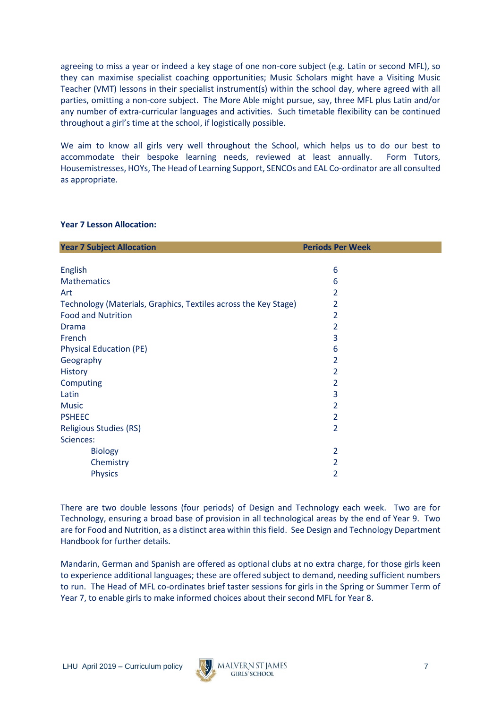agreeing to miss a year or indeed a key stage of one non-core subject (e.g. Latin or second MFL), so they can maximise specialist coaching opportunities; Music Scholars might have a Visiting Music Teacher (VMT) lessons in their specialist instrument(s) within the school day, where agreed with all parties, omitting a non-core subject. The More Able might pursue, say, three MFL plus Latin and/or any number of extra-curricular languages and activities. Such timetable flexibility can be continued throughout a girl's time at the school, if logistically possible.

We aim to know all girls very well throughout the School, which helps us to do our best to accommodate their bespoke learning needs, reviewed at least annually. Form Tutors, Housemistresses, HOYs, The Head of Learning Support, SENCOs and EAL Co-ordinator are all consulted as appropriate.

#### **Year 7 Lesson Allocation:**

| <b>Year 7 Subject Allocation</b>                                | <b>Periods Per Week</b> |
|-----------------------------------------------------------------|-------------------------|
|                                                                 |                         |
| English                                                         | 6                       |
| <b>Mathematics</b>                                              | 6                       |
| Art                                                             | 2                       |
| Technology (Materials, Graphics, Textiles across the Key Stage) | 2                       |
| <b>Food and Nutrition</b>                                       | 2                       |
| <b>Drama</b>                                                    | $\overline{2}$          |
| French                                                          | 3                       |
| <b>Physical Education (PE)</b>                                  | 6                       |
| Geography                                                       | 2                       |
| <b>History</b>                                                  | $\overline{2}$          |
| Computing                                                       | 2                       |
| Latin                                                           | 3                       |
| <b>Music</b>                                                    | 2                       |
| <b>PSHEEC</b>                                                   | $\overline{2}$          |
| <b>Religious Studies (RS)</b>                                   | $\overline{2}$          |
| Sciences:                                                       |                         |
| <b>Biology</b>                                                  | 2                       |
| Chemistry                                                       | 2                       |
| <b>Physics</b>                                                  | $\overline{2}$          |
|                                                                 |                         |

There are two double lessons (four periods) of Design and Technology each week. Two are for Technology, ensuring a broad base of provision in all technological areas by the end of Year 9. Two are for Food and Nutrition, as a distinct area within this field. See Design and Technology Department Handbook for further details.

Mandarin, German and Spanish are offered as optional clubs at no extra charge, for those girls keen to experience additional languages; these are offered subject to demand, needing sufficient numbers to run. The Head of MFL co-ordinates brief taster sessions for girls in the Spring or Summer Term of Year 7, to enable girls to make informed choices about their second MFL for Year 8.

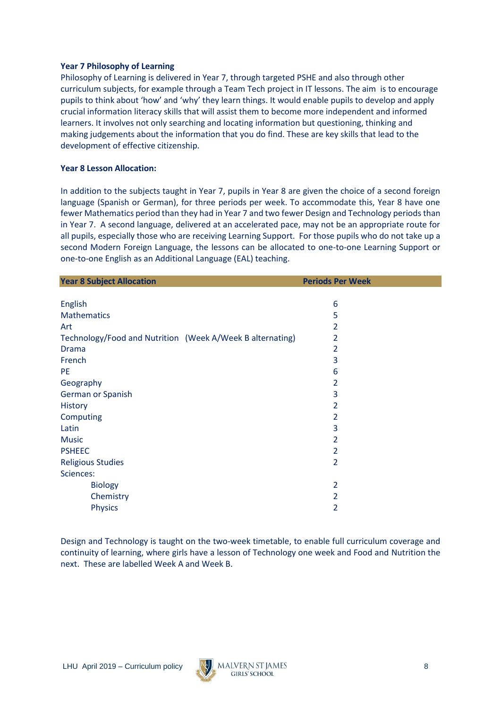## **Year 7 Philosophy of Learning**

Philosophy of Learning is delivered in Year 7, through targeted PSHE and also through other curriculum subjects, for example through a Team Tech project in IT lessons. The aim is to encourage pupils to think about 'how' and 'why' they learn things. It would enable pupils to develop and apply crucial information literacy skills that will assist them to become more independent and informed learners. It involves not only searching and locating information but questioning, thinking and making judgements about the information that you do find. These are key skills that lead to the development of effective citizenship.

# **Year 8 Lesson Allocation:**

In addition to the subjects taught in Year 7, pupils in Year 8 are given the choice of a second foreign language (Spanish or German), for three periods per week. To accommodate this, Year 8 have one fewer Mathematics period than they had in Year 7 and two fewer Design and Technology periods than in Year 7. A second language, delivered at an accelerated pace, may not be an appropriate route for all pupils, especially those who are receiving Learning Support. For those pupils who do not take up a second Modern Foreign Language, the lessons can be allocated to one-to-one Learning Support or one-to-one English as an Additional Language (EAL) teaching.

| <b>Year 8 Subject Allocation</b>                          | <b>Periods Per Week</b> |
|-----------------------------------------------------------|-------------------------|
|                                                           |                         |
| <b>English</b>                                            | 6                       |
| <b>Mathematics</b>                                        | 5                       |
| Art                                                       | 2                       |
| Technology/Food and Nutrition (Week A/Week B alternating) | 2                       |
| <b>Drama</b>                                              | $\overline{2}$          |
| French                                                    | 3                       |
| PE                                                        | 6                       |
| Geography                                                 | $\overline{2}$          |
| German or Spanish                                         | 3                       |
| <b>History</b>                                            | $\overline{2}$          |
| Computing                                                 | $\overline{2}$          |
| Latin                                                     | 3                       |
| <b>Music</b>                                              | $\overline{2}$          |
| <b>PSHEEC</b>                                             | $\overline{2}$          |
| <b>Religious Studies</b>                                  | $\overline{2}$          |
| Sciences:                                                 |                         |
| <b>Biology</b>                                            | $\overline{2}$          |
| Chemistry                                                 | $\overline{2}$          |
| <b>Physics</b>                                            | $\overline{2}$          |
|                                                           |                         |

Design and Technology is taught on the two-week timetable, to enable full curriculum coverage and continuity of learning, where girls have a lesson of Technology one week and Food and Nutrition the next. These are labelled Week A and Week B.

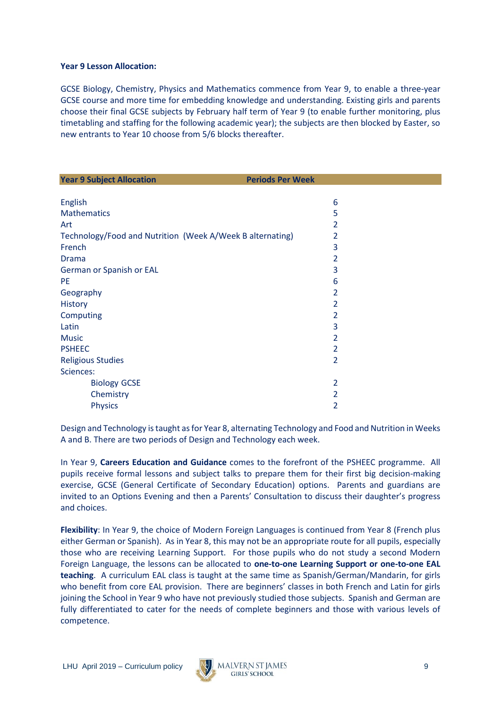#### **Year 9 Lesson Allocation:**

GCSE Biology, Chemistry, Physics and Mathematics commence from Year 9, to enable a three-year GCSE course and more time for embedding knowledge and understanding. Existing girls and parents choose their final GCSE subjects by February half term of Year 9 (to enable further monitoring, plus timetabling and staffing for the following academic year); the subjects are then blocked by Easter, so new entrants to Year 10 choose from 5/6 blocks thereafter.

| <b>Year 9 Subject Allocation</b>                          | <b>Periods Per Week</b> |
|-----------------------------------------------------------|-------------------------|
|                                                           |                         |
| <b>English</b>                                            | 6                       |
| <b>Mathematics</b>                                        | 5                       |
| Art                                                       | 2                       |
| Technology/Food and Nutrition (Week A/Week B alternating) | 2                       |
| French                                                    | 3                       |
| <b>Drama</b>                                              | 2                       |
| German or Spanish or EAL                                  | 3                       |
| PE                                                        | 6                       |
| Geography                                                 | 2                       |
| <b>History</b>                                            | 2                       |
| Computing                                                 | 2                       |
| Latin                                                     | 3                       |
| <b>Music</b>                                              | 2                       |
| <b>PSHEEC</b>                                             | $\overline{2}$          |
| <b>Religious Studies</b>                                  | 2                       |
| Sciences:                                                 |                         |
| <b>Biology GCSE</b>                                       | 2                       |
| Chemistry                                                 | 2                       |
| <b>Physics</b>                                            | 2                       |

Design and Technology is taught as for Year 8, alternating Technology and Food and Nutrition in Weeks A and B. There are two periods of Design and Technology each week.

In Year 9, **Careers Education and Guidance** comes to the forefront of the PSHEEC programme. All pupils receive formal lessons and subject talks to prepare them for their first big decision-making exercise, GCSE (General Certificate of Secondary Education) options. Parents and guardians are invited to an Options Evening and then a Parents' Consultation to discuss their daughter's progress and choices.

**Flexibility**: In Year 9, the choice of Modern Foreign Languages is continued from Year 8 (French plus either German or Spanish). As in Year 8, this may not be an appropriate route for all pupils, especially those who are receiving Learning Support. For those pupils who do not study a second Modern Foreign Language, the lessons can be allocated to **one-to-one Learning Support or one-to-one EAL teaching**. A curriculum EAL class is taught at the same time as Spanish/German/Mandarin, for girls who benefit from core EAL provision. There are beginners' classes in both French and Latin for girls joining the School in Year 9 who have not previously studied those subjects. Spanish and German are fully differentiated to cater for the needs of complete beginners and those with various levels of competence.

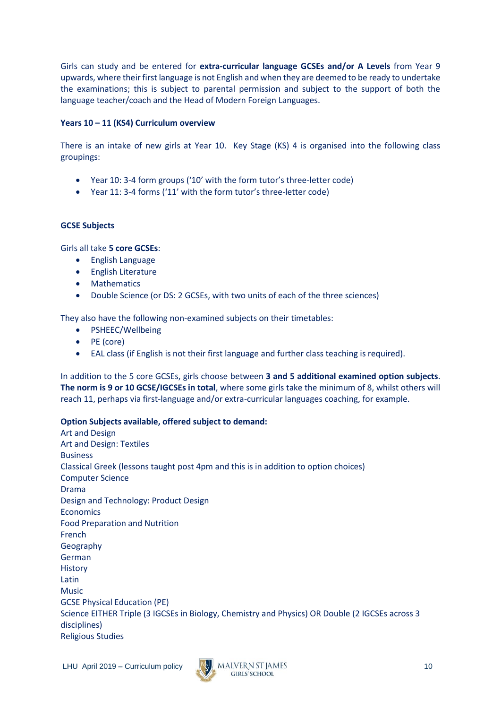Girls can study and be entered for **extra-curricular language GCSEs and/or A Levels** from Year 9 upwards, where their first language is not English and when they are deemed to be ready to undertake the examinations; this is subject to parental permission and subject to the support of both the language teacher/coach and the Head of Modern Foreign Languages.

## **Years 10 – 11 (KS4) Curriculum overview**

There is an intake of new girls at Year 10. Key Stage (KS) 4 is organised into the following class groupings:

- Year 10: 3-4 form groups ('10' with the form tutor's three-letter code)
- Year 11: 3-4 forms ('11' with the form tutor's three-letter code)

# **GCSE Subjects**

Girls all take **5 core GCSEs**:

- English Language
- English Literature
- Mathematics
- Double Science (or DS: 2 GCSEs, with two units of each of the three sciences)

They also have the following non-examined subjects on their timetables:

- PSHEEC/Wellbeing
- PE (core)
- EAL class (if English is not their first language and further class teaching is required).

In addition to the 5 core GCSEs, girls choose between **3 and 5 additional examined option subjects**. **The norm is 9 or 10 GCSE/IGCSEs in total**, where some girls take the minimum of 8, whilst others will reach 11, perhaps via first-language and/or extra-curricular languages coaching, for example.

#### **Option Subjects available, offered subject to demand:**

Art and Design Art and Design: Textiles Business Classical Greek (lessons taught post 4pm and this is in addition to option choices) Computer Science Drama Design and Technology: Product Design **Economics** Food Preparation and Nutrition French Geography German **History** Latin Music GCSE Physical Education (PE) Science EITHER Triple (3 IGCSEs in Biology, Chemistry and Physics) OR Double (2 IGCSEs across 3 disciplines) Religious Studies

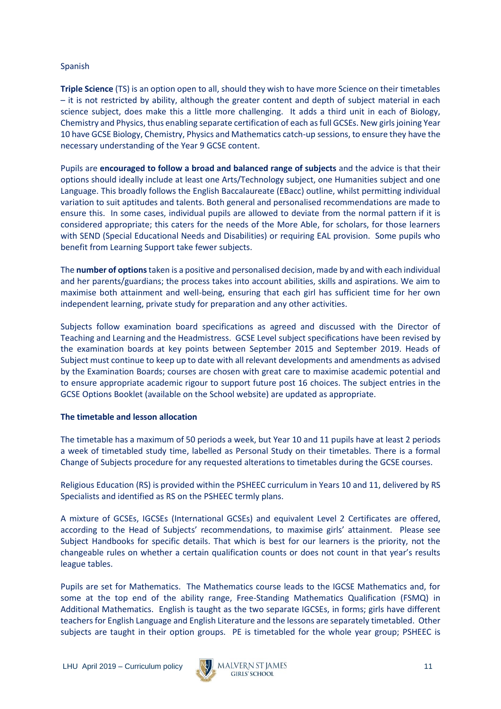#### Spanish

**Triple Science** (TS) is an option open to all, should they wish to have more Science on their timetables – it is not restricted by ability, although the greater content and depth of subject material in each science subject, does make this a little more challenging. It adds a third unit in each of Biology, Chemistry and Physics, thus enabling separate certification of each as full GCSEs. New girls joining Year 10 have GCSE Biology, Chemistry, Physics and Mathematics catch-up sessions, to ensure they have the necessary understanding of the Year 9 GCSE content.

Pupils are **encouraged to follow a broad and balanced range of subjects** and the advice is that their options should ideally include at least one Arts/Technology subject, one Humanities subject and one Language. This broadly follows the English Baccalaureate (EBacc) outline, whilst permitting individual variation to suit aptitudes and talents. Both general and personalised recommendations are made to ensure this. In some cases, individual pupils are allowed to deviate from the normal pattern if it is considered appropriate; this caters for the needs of the More Able, for scholars, for those learners with SEND (Special Educational Needs and Disabilities) or requiring EAL provision. Some pupils who benefit from Learning Support take fewer subjects.

The **number of options**taken is a positive and personalised decision, made by and with each individual and her parents/guardians; the process takes into account abilities, skills and aspirations. We aim to maximise both attainment and well-being, ensuring that each girl has sufficient time for her own independent learning, private study for preparation and any other activities.

Subjects follow examination board specifications as agreed and discussed with the Director of Teaching and Learning and the Headmistress. GCSE Level subject specifications have been revised by the examination boards at key points between September 2015 and September 2019. Heads of Subject must continue to keep up to date with all relevant developments and amendments as advised by the Examination Boards; courses are chosen with great care to maximise academic potential and to ensure appropriate academic rigour to support future post 16 choices. The subject entries in the GCSE Options Booklet (available on the School website) are updated as appropriate.

#### **The timetable and lesson allocation**

The timetable has a maximum of 50 periods a week, but Year 10 and 11 pupils have at least 2 periods a week of timetabled study time, labelled as Personal Study on their timetables. There is a formal Change of Subjects procedure for any requested alterations to timetables during the GCSE courses.

Religious Education (RS) is provided within the PSHEEC curriculum in Years 10 and 11, delivered by RS Specialists and identified as RS on the PSHEEC termly plans.

A mixture of GCSEs, IGCSEs (International GCSEs) and equivalent Level 2 Certificates are offered, according to the Head of Subjects' recommendations, to maximise girls' attainment. Please see Subject Handbooks for specific details. That which is best for our learners is the priority, not the changeable rules on whether a certain qualification counts or does not count in that year's results league tables.

Pupils are set for Mathematics. The Mathematics course leads to the IGCSE Mathematics and, for some at the top end of the ability range, Free-Standing Mathematics Qualification (FSMQ) in Additional Mathematics. English is taught as the two separate IGCSEs, in forms; girls have different teachers for English Language and English Literature and the lessons are separately timetabled. Other subjects are taught in their option groups. PE is timetabled for the whole year group; PSHEEC is

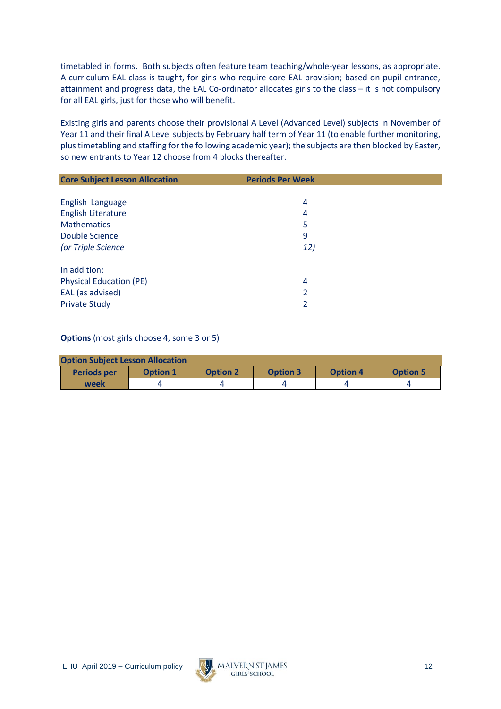timetabled in forms. Both subjects often feature team teaching/whole-year lessons, as appropriate. A curriculum EAL class is taught, for girls who require core EAL provision; based on pupil entrance, attainment and progress data, the EAL Co-ordinator allocates girls to the class – it is not compulsory for all EAL girls, just for those who will benefit.

Existing girls and parents choose their provisional A Level (Advanced Level) subjects in November of Year 11 and their final A Level subjects by February half term of Year 11 (to enable further monitoring, plus timetabling and staffing for the following academic year); the subjects are then blocked by Easter, so new entrants to Year 12 choose from 4 blocks thereafter.

| <b>Core Subject Lesson Allocation</b> | <b>Periods Per Week</b> |
|---------------------------------------|-------------------------|
|                                       |                         |
| English Language                      | 4                       |
| <b>English Literature</b>             | 4                       |
| <b>Mathematics</b>                    | 5                       |
| <b>Double Science</b>                 | 9                       |
| (or Triple Science                    | 12)                     |
| In addition:                          |                         |
| <b>Physical Education (PE)</b>        | 4                       |
| EAL (as advised)                      | 2                       |
| <b>Private Study</b>                  | 2                       |

#### **Options** (most girls choose 4, some 3 or 5)

| <b>Option Subject Lesson Allocation</b> |                 |                 |                 |                 |                 |
|-----------------------------------------|-----------------|-----------------|-----------------|-----------------|-----------------|
| <b>Periods per</b>                      | <b>Option 1</b> | <b>Option 2</b> | <b>Option 3</b> | <b>Option 4</b> | <b>Option 5</b> |
| week                                    |                 |                 |                 |                 |                 |

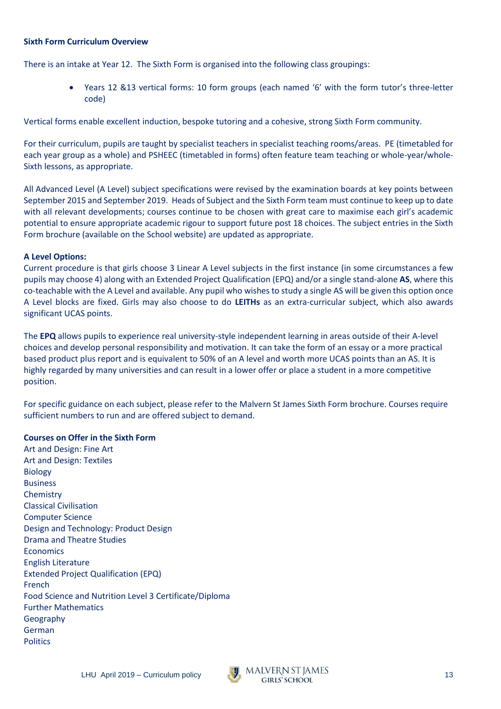## **Sixth Form Curriculum Overview**

There is an intake at Year 12. The Sixth Form is organised into the following class groupings:

• Years 12 &13 vertical forms: 10 form groups (each named '6' with the form tutor's three-letter code)

Vertical forms enable excellent induction, bespoke tutoring and a cohesive, strong Sixth Form community.

For their curriculum, pupils are taught by specialist teachers in specialist teaching rooms/areas. PE (timetabled for each year group as a whole) and PSHEEC (timetabled in forms) often feature team teaching or whole-year/whole-Sixth lessons, as appropriate.

All Advanced Level (A Level) subject specifications were revised by the examination boards at key points between September 2015 and September 2019. Heads of Subject and the Sixth Form team must continue to keep up to date with all relevant developments; courses continue to be chosen with great care to maximise each girl's academic potential to ensure appropriate academic rigour to support future post 18 choices. The subject entries in the Sixth Form brochure (available on the School website) are updated as appropriate.

# **A Level Options:**

Current procedure is that girls choose 3 Linear A Level subjects in the first instance (in some circumstances a few pupils may choose 4) along with an Extended Project Qualification (EPQ) and/or a single stand-alone **AS**, where this co-teachable with the A Level and available. Any pupil who wishes to study a single AS will be given this option once A Level blocks are fixed. Girls may also choose to do **LEITHs** as an extra-curricular subject, which also awards significant UCAS points.

The **EPQ** allows pupils to experience real university-style independent learning in areas outside of their A-level choices and develop personal responsibility and motivation. It can take the form of an essay or a more practical based product plus report and is equivalent to 50% of an A level and worth more UCAS points than an AS. It is highly regarded by many universities and can result in a lower offer or place a student in a more competitive position.

For specific guidance on each subject, please refer to the Malvern St James Sixth Form brochure. Courses require sufficient numbers to run and are offered subject to demand.

#### **Courses on Offer in the Sixth Form**

Art and Design: Fine Art Art and Design: Textiles Biology Business **Chemistry** Classical Civilisation Computer Science Design and Technology: Product Design Drama and Theatre Studies **Economics** English Literature Extended Project Qualification (EPQ) French Food Science and Nutrition Level 3 Certificate/Diploma Further Mathematics Geography German **Politics** 

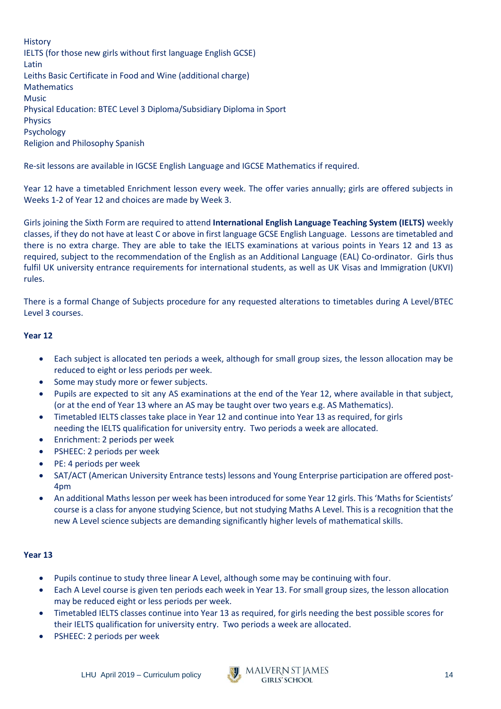**History** IELTS (for those new girls without first language English GCSE) Latin Leiths Basic Certificate in Food and Wine (additional charge) Mathematics Music Physical Education: BTEC Level 3 Diploma/Subsidiary Diploma in Sport Physics Psychology Religion and Philosophy Spanish

Re-sit lessons are available in IGCSE English Language and IGCSE Mathematics if required.

Year 12 have a timetabled Enrichment lesson every week. The offer varies annually; girls are offered subjects in Weeks 1-2 of Year 12 and choices are made by Week 3.

Girls joining the Sixth Form are required to attend **International English Language Teaching System (IELTS)** weekly classes, if they do not have at least C or above in first language GCSE English Language. Lessons are timetabled and there is no extra charge. They are able to take the IELTS examinations at various points in Years 12 and 13 as required, subject to the recommendation of the English as an Additional Language (EAL) Co-ordinator. Girls thus fulfil UK university entrance requirements for international students, as well as UK Visas and Immigration (UKVI) rules.

There is a formal Change of Subjects procedure for any requested alterations to timetables during A Level/BTEC Level 3 courses.

#### **Year 12**

- Each subject is allocated ten periods a week, although for small group sizes, the lesson allocation may be reduced to eight or less periods per week.
- Some may study more or fewer subjects.
- Pupils are expected to sit any AS examinations at the end of the Year 12, where available in that subject, (or at the end of Year 13 where an AS may be taught over two years e.g. AS Mathematics).
- Timetabled IELTS classes take place in Year 12 and continue into Year 13 as required, for girls needing the IELTS qualification for university entry. Two periods a week are allocated.
- Enrichment: 2 periods per week
- PSHEEC: 2 periods per week
- PE: 4 periods per week
- SAT/ACT (American University Entrance tests) lessons and Young Enterprise participation are offered post-4pm
- An additional Maths lesson per week has been introduced for some Year 12 girls. This 'Maths for Scientists' course is a class for anyone studying Science, but not studying Maths A Level. This is a recognition that the new A Level science subjects are demanding significantly higher levels of mathematical skills.

# **Year 13**

- Pupils continue to study three linear A Level, although some may be continuing with four.
- Each A Level course is given ten periods each week in Year 13. For small group sizes, the lesson allocation may be reduced eight or less periods per week.
- Timetabled IELTS classes continue into Year 13 as required, for girls needing the best possible scores for their IELTS qualification for university entry. Two periods a week are allocated.
- PSHEEC: 2 periods per week

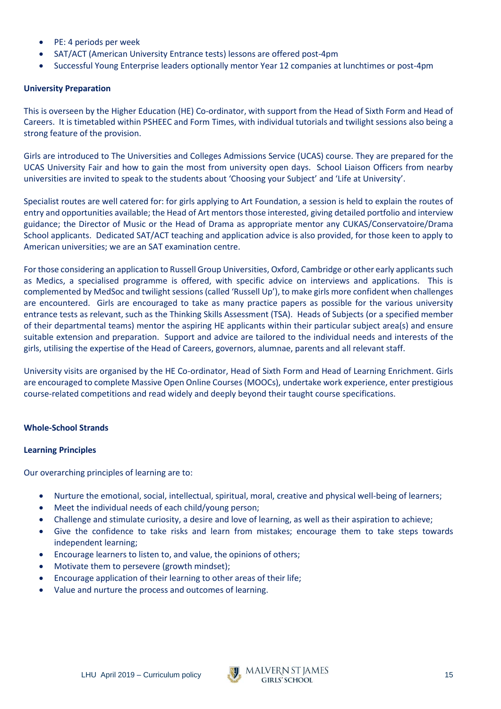- PE: 4 periods per week
- SAT/ACT (American University Entrance tests) lessons are offered post-4pm
- Successful Young Enterprise leaders optionally mentor Year 12 companies at lunchtimes or post-4pm

#### **University Preparation**

This is overseen by the Higher Education (HE) Co-ordinator, with support from the Head of Sixth Form and Head of Careers. It is timetabled within PSHEEC and Form Times, with individual tutorials and twilight sessions also being a strong feature of the provision.

Girls are introduced to The Universities and Colleges Admissions Service (UCAS) course. They are prepared for the UCAS University Fair and how to gain the most from university open days. School Liaison Officers from nearby universities are invited to speak to the students about 'Choosing your Subject' and 'Life at University'.

Specialist routes are well catered for: for girls applying to Art Foundation, a session is held to explain the routes of entry and opportunities available; the Head of Art mentors those interested, giving detailed portfolio and interview guidance; the Director of Music or the Head of Drama as appropriate mentor any CUKAS/Conservatoire/Drama School applicants. Dedicated SAT/ACT teaching and application advice is also provided, for those keen to apply to American universities; we are an SAT examination centre.

For those considering an application to Russell Group Universities, Oxford, Cambridge or other early applicants such as Medics, a specialised programme is offered, with specific advice on interviews and applications. This is complemented by MedSoc and twilight sessions (called 'Russell Up'), to make girls more confident when challenges are encountered. Girls are encouraged to take as many practice papers as possible for the various university entrance tests as relevant, such as the Thinking Skills Assessment (TSA). Heads of Subjects (or a specified member of their departmental teams) mentor the aspiring HE applicants within their particular subject area(s) and ensure suitable extension and preparation. Support and advice are tailored to the individual needs and interests of the girls, utilising the expertise of the Head of Careers, governors, alumnae, parents and all relevant staff.

University visits are organised by the HE Co-ordinator, Head of Sixth Form and Head of Learning Enrichment. Girls are encouraged to complete Massive Open Online Courses (MOOCs), undertake work experience, enter prestigious course-related competitions and read widely and deeply beyond their taught course specifications.

#### **Whole-School Strands**

#### **Learning Principles**

Our overarching principles of learning are to:

- Nurture the emotional, social, intellectual, spiritual, moral, creative and physical well-being of learners;
- Meet the individual needs of each child/young person;
- Challenge and stimulate curiosity, a desire and love of learning, as well as their aspiration to achieve;
- Give the confidence to take risks and learn from mistakes; encourage them to take steps towards independent learning;
- Encourage learners to listen to, and value, the opinions of others;
- Motivate them to persevere (growth mindset);
- Encourage application of their learning to other areas of their life;
- Value and nurture the process and outcomes of learning.

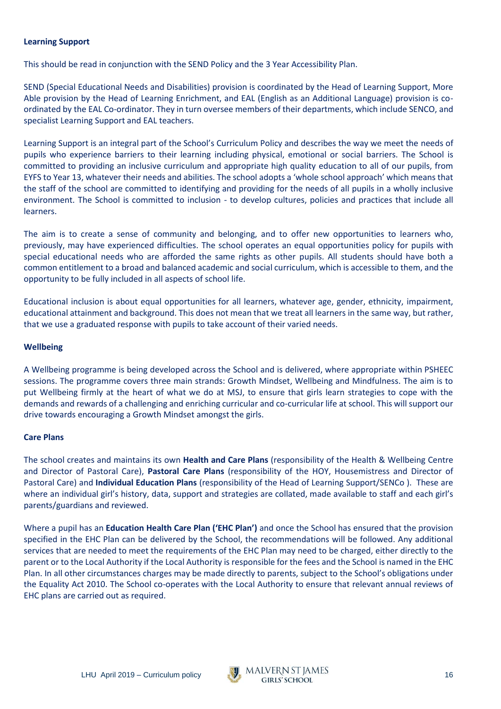#### **Learning Support**

This should be read in conjunction with the SEND Policy and the 3 Year Accessibility Plan.

SEND (Special Educational Needs and Disabilities) provision is coordinated by the Head of Learning Support, More Able provision by the Head of Learning Enrichment, and EAL (English as an Additional Language) provision is coordinated by the EAL Co-ordinator. They in turn oversee members of their departments, which include SENCO, and specialist Learning Support and EAL teachers.

Learning Support is an integral part of the School's Curriculum Policy and describes the way we meet the needs of pupils who experience barriers to their learning including physical, emotional or social barriers. The School is committed to providing an inclusive curriculum and appropriate high quality education to all of our pupils, from EYFS to Year 13, whatever their needs and abilities. The school adopts a 'whole school approach' which means that the staff of the school are committed to identifying and providing for the needs of all pupils in a wholly inclusive environment. The School is committed to inclusion - to develop cultures, policies and practices that include all learners.

The aim is to create a sense of community and belonging, and to offer new opportunities to learners who, previously, may have experienced difficulties. The school operates an equal opportunities policy for pupils with special educational needs who are afforded the same rights as other pupils. All students should have both a common entitlement to a broad and balanced academic and social curriculum, which is accessible to them, and the opportunity to be fully included in all aspects of school life.

Educational inclusion is about equal opportunities for all learners, whatever age, gender, ethnicity, impairment, educational attainment and background. This does not mean that we treat all learners in the same way, but rather, that we use a graduated response with pupils to take account of their varied needs.

#### **Wellbeing**

A Wellbeing programme is being developed across the School and is delivered, where appropriate within PSHEEC sessions. The programme covers three main strands: Growth Mindset, Wellbeing and Mindfulness. The aim is to put Wellbeing firmly at the heart of what we do at MSJ, to ensure that girls learn strategies to cope with the demands and rewards of a challenging and enriching curricular and co-curricular life at school. This will support our drive towards encouraging a Growth Mindset amongst the girls.

#### **Care Plans**

The school creates and maintains its own **Health and Care Plans** (responsibility of the Health & Wellbeing Centre and Director of Pastoral Care), **Pastoral Care Plans** (responsibility of the HOY, Housemistress and Director of Pastoral Care) and **Individual Education Plans** (responsibility of the Head of Learning Support/SENCo ). These are where an individual girl's history, data, support and strategies are collated, made available to staff and each girl's parents/guardians and reviewed.

Where a pupil has an **Education Health Care Plan ('EHC Plan')** and once the School has ensured that the provision specified in the EHC Plan can be delivered by the School, the recommendations will be followed. Any additional services that are needed to meet the requirements of the EHC Plan may need to be charged, either directly to the parent or to the Local Authority if the Local Authority is responsible for the fees and the School is named in the EHC Plan. In all other circumstances charges may be made directly to parents, subject to the School's obligations under the Equality Act 2010. The School co-operates with the Local Authority to ensure that relevant annual reviews of EHC plans are carried out as required.

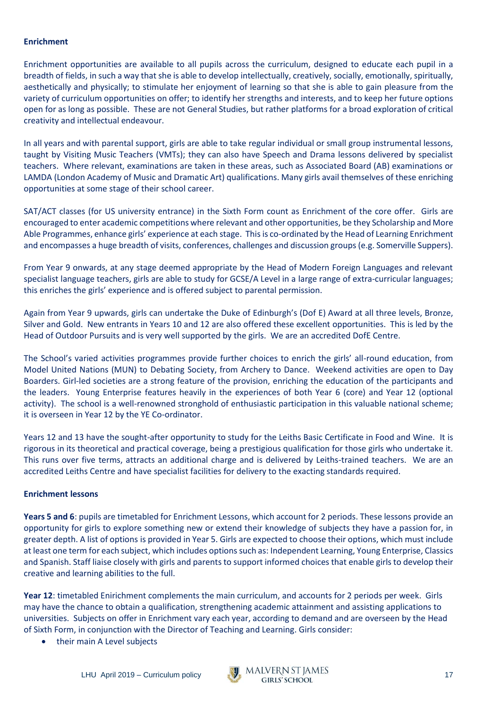# **Enrichment**

Enrichment opportunities are available to all pupils across the curriculum, designed to educate each pupil in a breadth of fields, in such a way that she is able to develop intellectually, creatively, socially, emotionally, spiritually, aesthetically and physically; to stimulate her enjoyment of learning so that she is able to gain pleasure from the variety of curriculum opportunities on offer; to identify her strengths and interests, and to keep her future options open for as long as possible. These are not General Studies, but rather platforms for a broad exploration of critical creativity and intellectual endeavour.

In all years and with parental support, girls are able to take regular individual or small group instrumental lessons, taught by Visiting Music Teachers (VMTs); they can also have Speech and Drama lessons delivered by specialist teachers. Where relevant, examinations are taken in these areas, such as Associated Board (AB) examinations or LAMDA (London Academy of Music and Dramatic Art) qualifications. Many girls avail themselves of these enriching opportunities at some stage of their school career.

SAT/ACT classes (for US university entrance) in the Sixth Form count as Enrichment of the core offer. Girls are encouraged to enter academic competitions where relevant and other opportunities, be they Scholarship and More Able Programmes, enhance girls' experience at each stage. This is co-ordinated by the Head of Learning Enrichment and encompasses a huge breadth of visits, conferences, challenges and discussion groups (e.g. Somerville Suppers).

From Year 9 onwards, at any stage deemed appropriate by the Head of Modern Foreign Languages and relevant specialist language teachers, girls are able to study for GCSE/A Level in a large range of extra-curricular languages; this enriches the girls' experience and is offered subject to parental permission.

Again from Year 9 upwards, girls can undertake the Duke of Edinburgh's (Dof E) Award at all three levels, Bronze, Silver and Gold. New entrants in Years 10 and 12 are also offered these excellent opportunities. This is led by the Head of Outdoor Pursuits and is very well supported by the girls. We are an accredited DofE Centre.

The School's varied activities programmes provide further choices to enrich the girls' all-round education, from Model United Nations (MUN) to Debating Society, from Archery to Dance. Weekend activities are open to Day Boarders. Girl-led societies are a strong feature of the provision, enriching the education of the participants and the leaders. Young Enterprise features heavily in the experiences of both Year 6 (core) and Year 12 (optional activity). The school is a well-renowned stronghold of enthusiastic participation in this valuable national scheme; it is overseen in Year 12 by the YE Co-ordinator.

Years 12 and 13 have the sought-after opportunity to study for the Leiths Basic Certificate in Food and Wine. It is rigorous in its theoretical and practical coverage, being a prestigious qualification for those girls who undertake it. This runs over five terms, attracts an additional charge and is delivered by Leiths-trained teachers. We are an accredited Leiths Centre and have specialist facilities for delivery to the exacting standards required.

#### **Enrichment lessons**

**Years 5 and 6**: pupils are timetabled for Enrichment Lessons, which account for 2 periods. These lessons provide an opportunity for girls to explore something new or extend their knowledge of subjects they have a passion for, in greater depth. A list of options is provided in Year 5. Girls are expected to choose their options, which must include at least one term for each subject, which includes options such as: Independent Learning, Young Enterprise, Classics and Spanish. Staff liaise closely with girls and parents to support informed choices that enable girls to develop their creative and learning abilities to the full.

**Year 12**: timetabled Enirichment complements the main curriculum, and accounts for 2 periods per week. Girls may have the chance to obtain a qualification, strengthening academic attainment and assisting applications to universities. Subjects on offer in Enrichment vary each year, according to demand and are overseen by the Head of Sixth Form, in conjunction with the Director of Teaching and Learning. Girls consider:

• their main A Level subjects



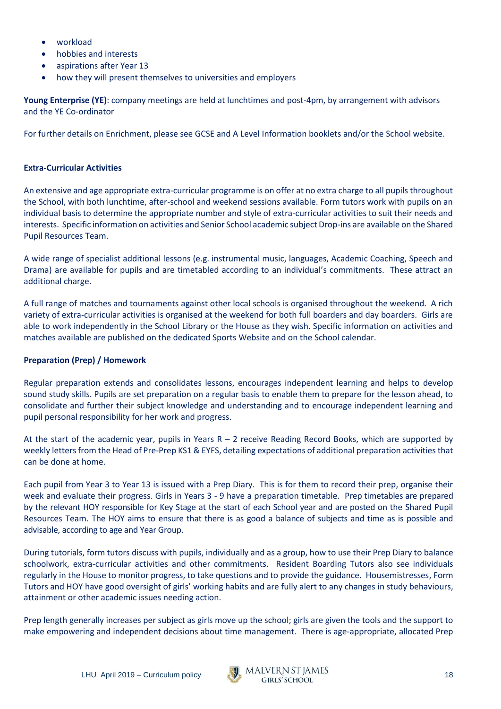- workload
- hobbies and interests
- aspirations after Year 13
- how they will present themselves to universities and employers

**Young Enterprise (YE)**: company meetings are held at lunchtimes and post-4pm, by arrangement with advisors and the YE Co-ordinator

For further details on Enrichment, please see GCSE and A Level Information booklets and/or the School website.

## **Extra-Curricular Activities**

An extensive and age appropriate extra-curricular programme is on offer at no extra charge to all pupils throughout the School, with both lunchtime, after-school and weekend sessions available. Form tutors work with pupils on an individual basis to determine the appropriate number and style of extra-curricular activities to suit their needs and interests. Specific information on activities and Senior School academic subject Drop-ins are available on the Shared Pupil Resources Team.

A wide range of specialist additional lessons (e.g. instrumental music, languages, Academic Coaching, Speech and Drama) are available for pupils and are timetabled according to an individual's commitments. These attract an additional charge.

A full range of matches and tournaments against other local schools is organised throughout the weekend. A rich variety of extra-curricular activities is organised at the weekend for both full boarders and day boarders. Girls are able to work independently in the School Library or the House as they wish. Specific information on activities and matches available are published on the dedicated Sports Website and on the School calendar.

#### **Preparation (Prep) / Homework**

Regular preparation extends and consolidates lessons, encourages independent learning and helps to develop sound study skills. Pupils are set preparation on a regular basis to enable them to prepare for the lesson ahead, to consolidate and further their subject knowledge and understanding and to encourage independent learning and pupil personal responsibility for her work and progress.

At the start of the academic year, pupils in Years R – 2 receive Reading Record Books, which are supported by weekly letters from the Head of Pre-Prep KS1 & EYFS, detailing expectations of additional preparation activities that can be done at home.

Each pupil from Year 3 to Year 13 is issued with a Prep Diary. This is for them to record their prep, organise their week and evaluate their progress. Girls in Years 3 - 9 have a preparation timetable. Prep timetables are prepared by the relevant HOY responsible for Key Stage at the start of each School year and are posted on the Shared Pupil Resources Team. The HOY aims to ensure that there is as good a balance of subjects and time as is possible and advisable, according to age and Year Group.

During tutorials, form tutors discuss with pupils, individually and as a group, how to use their Prep Diary to balance schoolwork, extra-curricular activities and other commitments. Resident Boarding Tutors also see individuals regularly in the House to monitor progress, to take questions and to provide the guidance. Housemistresses, Form Tutors and HOY have good oversight of girls' working habits and are fully alert to any changes in study behaviours, attainment or other academic issues needing action.

Prep length generally increases per subject as girls move up the school; girls are given the tools and the support to make empowering and independent decisions about time management. There is age-appropriate, allocated Prep

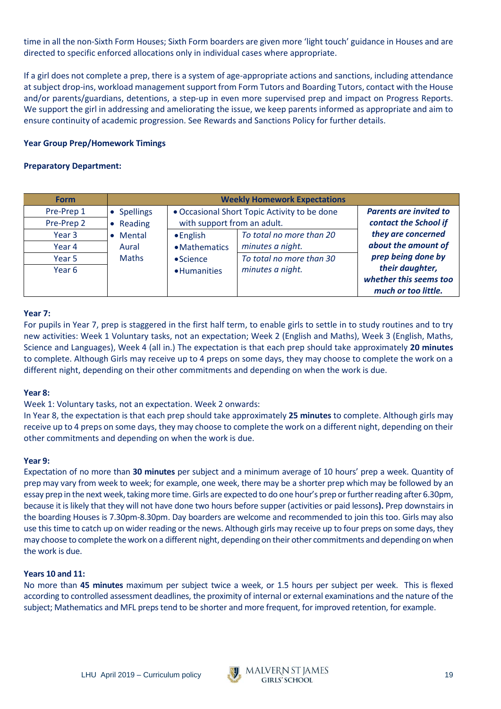time in all the non-Sixth Form Houses; Sixth Form boarders are given more 'light touch' guidance in Houses and are directed to specific enforced allocations only in individual cases where appropriate.

If a girl does not complete a prep, there is a system of age-appropriate actions and sanctions, including attendance at subject drop-ins, workload management support from Form Tutors and Boarding Tutors, contact with the House and/or parents/guardians, detentions, a step-up in even more supervised prep and impact on Progress Reports. We support the girl in addressing and ameliorating the issue, we keep parents informed as appropriate and aim to ensure continuity of academic progression. See Rewards and Sanctions Policy for further details.

# **Year Group Prep/Homework Timings**

## **Preparatory Department:**

| <b>Form</b>              | <b>Weekly Homework Expectations</b> |                                                                             |                          |                                                                  |                                                        |
|--------------------------|-------------------------------------|-----------------------------------------------------------------------------|--------------------------|------------------------------------------------------------------|--------------------------------------------------------|
| Pre-Prep 1<br>Pre-Prep 2 | <b>Spellings</b><br>Reading         | • Occasional Short Topic Activity to be done<br>with support from an adult. |                          |                                                                  | <b>Parents are invited to</b><br>contact the School if |
| Year 3                   | Mental                              | $\bullet$ English                                                           | To total no more than 20 | they are concerned                                               |                                                        |
| Year 4                   | Aural                               | • Mathematics                                                               | minutes a night.         | about the amount of                                              |                                                        |
| Year 5                   | <b>Maths</b>                        | $\bullet$ Science                                                           | To total no more than 30 | prep being done by                                               |                                                        |
| Year 6                   |                                     | • Humanities                                                                | minutes a night.         | their daughter,<br>whether this seems too<br>much or too little. |                                                        |

#### **Year 7:**

For pupils in Year 7, prep is staggered in the first half term, to enable girls to settle in to study routines and to try new activities: Week 1 Voluntary tasks, not an expectation; Week 2 (English and Maths), Week 3 (English, Maths, Science and Languages), Week 4 (all in.) The expectation is that each prep should take approximately **20 minutes**  to complete. Although Girls may receive up to 4 preps on some days, they may choose to complete the work on a different night, depending on their other commitments and depending on when the work is due.

#### **Year 8:**

Week 1: Voluntary tasks, not an expectation. Week 2 onwards:

In Year 8, the expectation is that each prep should take approximately **25 minutes** to complete. Although girls may receive up to 4 preps on some days, they may choose to complete the work on a different night, depending on their other commitments and depending on when the work is due.

#### **Year 9:**

Expectation of no more than **30 minutes** per subject and a minimum average of 10 hours' prep a week. Quantity of prep may vary from week to week; for example, one week, there may be a shorter prep which may be followed by an essay prep in the next week, taking more time. Girls are expected to do one hour's prep or further reading after 6.30pm, because it is likely that they will not have done two hours before supper (activities or paid lessons**).** Prep downstairs in the boarding Houses is 7.30pm-8.30pm. Day boarders are welcome and recommended to join this too. Girls may also use this time to catch up on wider reading or the news. Although girls may receive up to four preps on some days, they may choose to complete the work on a different night, depending on their other commitments and depending on when the work is due.

#### **Years 10 and 11:**

No more than **45 minutes** maximum per subject twice a week, or 1.5 hours per subject per week. This is flexed according to controlled assessment deadlines, the proximity of internal or external examinations and the nature of the subject; Mathematics and MFL preps tend to be shorter and more frequent, for improved retention, for example.

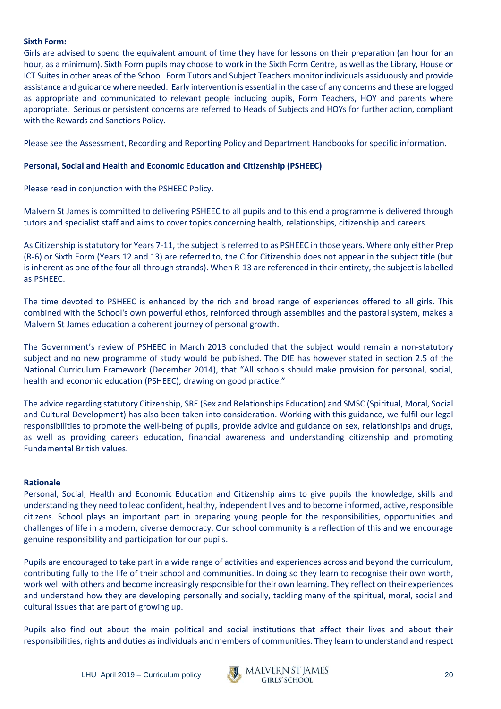# **Sixth Form:**

Girls are advised to spend the equivalent amount of time they have for lessons on their preparation (an hour for an hour, as a minimum). Sixth Form pupils may choose to work in the Sixth Form Centre, as well as the Library, House or ICT Suites in other areas of the School. Form Tutors and Subject Teachers monitor individuals assiduously and provide assistance and guidance where needed. Early intervention is essential in the case of any concerns and these are logged as appropriate and communicated to relevant people including pupils, Form Teachers, HOY and parents where appropriate. Serious or persistent concerns are referred to Heads of Subjects and HOYs for further action, compliant with the Rewards and Sanctions Policy.

Please see the Assessment, Recording and Reporting Policy and Department Handbooks for specific information.

# **Personal, Social and Health and Economic Education and Citizenship (PSHEEC)**

Please read in conjunction with the PSHEEC Policy.

Malvern St James is committed to delivering PSHEEC to all pupils and to this end a programme is delivered through tutors and specialist staff and aims to cover topics concerning health, relationships, citizenship and careers.

As Citizenship is statutory for Years 7-11, the subject is referred to as PSHEEC in those years. Where only either Prep (R-6) or Sixth Form (Years 12 and 13) are referred to, the C for Citizenship does not appear in the subject title (but is inherent as one of the four all-through strands). When R-13 are referenced in their entirety, the subject is labelled as PSHEEC.

The time devoted to PSHEEC is enhanced by the rich and broad range of experiences offered to all girls. This combined with the School's own powerful ethos, reinforced through assemblies and the pastoral system, makes a Malvern St James education a coherent journey of personal growth.

The Government's review of PSHEEC in March 2013 concluded that the subject would remain a non-statutory subject and no new programme of study would be published. The DfE has however stated in section 2.5 of the National Curriculum Framework (December 2014), that "All schools should make provision for personal, social, health and economic education (PSHEEC), drawing on good practice."

The advice regarding statutory Citizenship, SRE (Sex and Relationships Education) and SMSC (Spiritual, Moral, Social and Cultural Development) has also been taken into consideration. Working with this guidance, we fulfil our legal responsibilities to promote the well-being of pupils, provide advice and guidance on sex, relationships and drugs, as well as providing careers education, financial awareness and understanding citizenship and promoting Fundamental British values.

#### **Rationale**

Personal, Social, Health and Economic Education and Citizenship aims to give pupils the knowledge, skills and understanding they need to lead confident, healthy, independent lives and to become informed, active, responsible citizens. School plays an important part in preparing young people for the responsibilities, opportunities and challenges of life in a modern, diverse democracy. Our school community is a reflection of this and we encourage genuine responsibility and participation for our pupils.

Pupils are encouraged to take part in a wide range of activities and experiences across and beyond the curriculum, contributing fully to the life of their school and communities. In doing so they learn to recognise their own worth, work well with others and become increasingly responsible for their own learning. They reflect on their experiences and understand how they are developing personally and socially, tackling many of the spiritual, moral, social and cultural issues that are part of growing up.

Pupils also find out about the main political and social institutions that affect their lives and about their responsibilities, rights and duties as individuals and members of communities. They learn to understand and respect

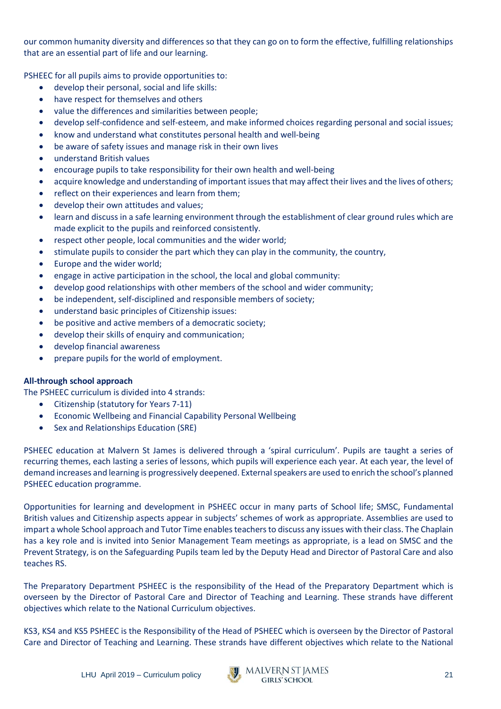our common humanity diversity and differences so that they can go on to form the effective, fulfilling relationships that are an essential part of life and our learning.

PSHEEC for all pupils aims to provide opportunities to:

- develop their personal, social and life skills:
- have respect for themselves and others
- value the differences and similarities between people;
- develop self-confidence and self-esteem, and make informed choices regarding personal and social issues;
- know and understand what constitutes personal health and well-being
- be aware of safety issues and manage risk in their own lives
- understand British values
- encourage pupils to take responsibility for their own health and well-being
- acquire knowledge and understanding of important issues that may affect their lives and the lives of others;
- reflect on their experiences and learn from them;
- develop their own attitudes and values;
- learn and discuss in a safe learning environment through the establishment of clear ground rules which are made explicit to the pupils and reinforced consistently.
- respect other people, local communities and the wider world;
- stimulate pupils to consider the part which they can play in the community, the country,
- Europe and the wider world;
- engage in active participation in the school, the local and global community:
- develop good relationships with other members of the school and wider community;
- be independent, self-disciplined and responsible members of society;
- understand basic principles of Citizenship issues:
- be positive and active members of a democratic society;
- develop their skills of enquiry and communication;
- develop financial awareness
- prepare pupils for the world of employment.

# **All-through school approach**

The PSHEEC curriculum is divided into 4 strands:

- Citizenship (statutory for Years 7-11)
- Economic Wellbeing and Financial Capability Personal Wellbeing
- Sex and Relationships Education (SRE)

PSHEEC education at Malvern St James is delivered through a 'spiral curriculum'. Pupils are taught a series of recurring themes, each lasting a series of lessons, which pupils will experience each year. At each year, the level of demand increases and learning is progressively deepened. External speakers are used to enrich the school's planned PSHEEC education programme.

Opportunities for learning and development in PSHEEC occur in many parts of School life; SMSC, Fundamental British values and Citizenship aspects appear in subjects' schemes of work as appropriate. Assemblies are used to impart a whole School approach and Tutor Time enables teachers to discuss any issues with their class. The Chaplain has a key role and is invited into Senior Management Team meetings as appropriate, is a lead on SMSC and the Prevent Strategy, is on the Safeguarding Pupils team led by the Deputy Head and Director of Pastoral Care and also teaches RS.

The Preparatory Department PSHEEC is the responsibility of the Head of the Preparatory Department which is overseen by the Director of Pastoral Care and Director of Teaching and Learning. These strands have different objectives which relate to the National Curriculum objectives.

KS3, KS4 and KS5 PSHEEC is the Responsibility of the Head of PSHEEC which is overseen by the Director of Pastoral Care and Director of Teaching and Learning. These strands have different objectives which relate to the National

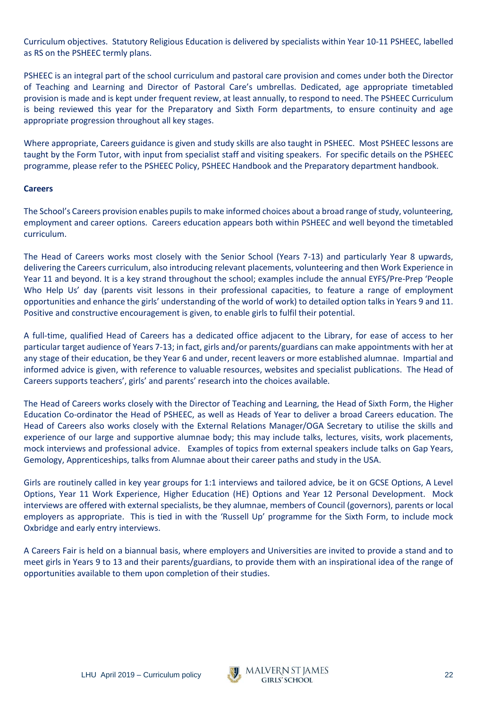Curriculum objectives. Statutory Religious Education is delivered by specialists within Year 10-11 PSHEEC, labelled as RS on the PSHEEC termly plans.

PSHEEC is an integral part of the school curriculum and pastoral care provision and comes under both the Director of Teaching and Learning and Director of Pastoral Care's umbrellas. Dedicated, age appropriate timetabled provision is made and is kept under frequent review, at least annually, to respond to need. The PSHEEC Curriculum is being reviewed this year for the Preparatory and Sixth Form departments, to ensure continuity and age appropriate progression throughout all key stages.

Where appropriate, Careers guidance is given and study skills are also taught in PSHEEC. Most PSHEEC lessons are taught by the Form Tutor, with input from specialist staff and visiting speakers. For specific details on the PSHEEC programme, please refer to the PSHEEC Policy, PSHEEC Handbook and the Preparatory department handbook.

#### **Careers**

The School's Careers provision enables pupils to make informed choices about a broad range of study, volunteering, employment and career options. Careers education appears both within PSHEEC and well beyond the timetabled curriculum.

The Head of Careers works most closely with the Senior School (Years 7-13) and particularly Year 8 upwards, delivering the Careers curriculum, also introducing relevant placements, volunteering and then Work Experience in Year 11 and beyond. It is a key strand throughout the school; examples include the annual EYFS/Pre-Prep 'People Who Help Us' day (parents visit lessons in their professional capacities, to feature a range of employment opportunities and enhance the girls' understanding of the world of work) to detailed option talks in Years 9 and 11. Positive and constructive encouragement is given, to enable girls to fulfil their potential.

A full-time, qualified Head of Careers has a dedicated office adjacent to the Library, for ease of access to her particular target audience of Years 7-13; in fact, girls and/or parents/guardians can make appointments with her at any stage of their education, be they Year 6 and under, recent leavers or more established alumnae. Impartial and informed advice is given, with reference to valuable resources, websites and specialist publications. The Head of Careers supports teachers', girls' and parents' research into the choices available.

The Head of Careers works closely with the Director of Teaching and Learning, the Head of Sixth Form, the Higher Education Co-ordinator the Head of PSHEEC, as well as Heads of Year to deliver a broad Careers education. The Head of Careers also works closely with the External Relations Manager/OGA Secretary to utilise the skills and experience of our large and supportive alumnae body; this may include talks, lectures, visits, work placements, mock interviews and professional advice. Examples of topics from external speakers include talks on Gap Years, Gemology, Apprenticeships, talks from Alumnae about their career paths and study in the USA.

Girls are routinely called in key year groups for 1:1 interviews and tailored advice, be it on GCSE Options, A Level Options, Year 11 Work Experience, Higher Education (HE) Options and Year 12 Personal Development. Mock interviews are offered with external specialists, be they alumnae, members of Council (governors), parents or local employers as appropriate. This is tied in with the 'Russell Up' programme for the Sixth Form, to include mock Oxbridge and early entry interviews.

A Careers Fair is held on a biannual basis, where employers and Universities are invited to provide a stand and to meet girls in Years 9 to 13 and their parents/guardians, to provide them with an inspirational idea of the range of opportunities available to them upon completion of their studies.